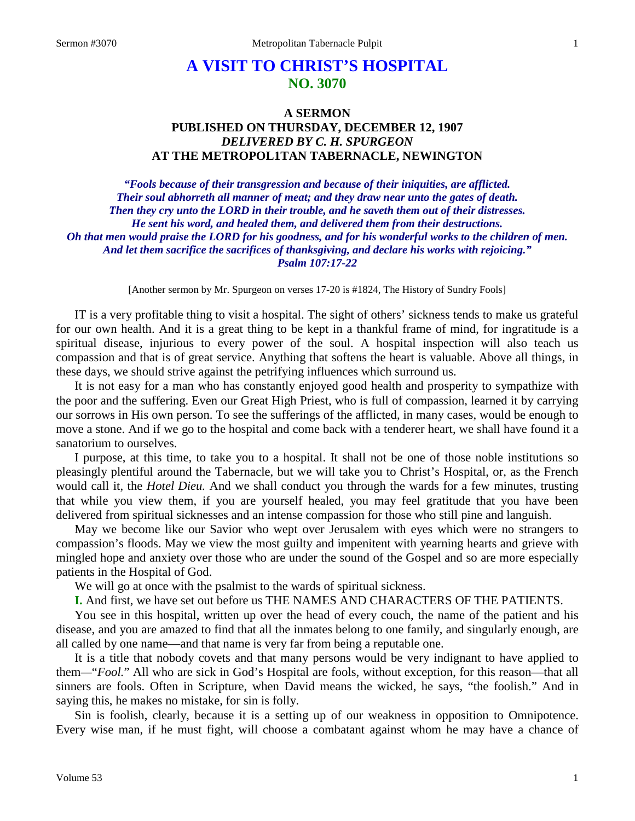# **A VISIT TO CHRIST'S HOSPITAL NO. 3070**

# **A SERMON PUBLISHED ON THURSDAY, DECEMBER 12, 1907** *DELIVERED BY C. H. SPURGEON* **AT THE METROPOL1TAN TABERNACLE, NEWINGTON**

*"Fools because of their transgression and because of their iniquities, are afflicted. Their soul abhorreth all manner of meat; and they draw near unto the gates of death. Then they cry unto the LORD in their trouble, and he saveth them out of their distresses. He sent his word, and healed them, and delivered them from their destructions. Oh that men would praise the LORD for his goodness, and for his wonderful works to the children of men. And let them sacrifice the sacrifices of thanksgiving, and declare his works with rejoicing." Psalm 107:17-22*

[Another sermon by Mr. Spurgeon on verses 17-20 is #1824, The History of Sundry Fools]

IT is a very profitable thing to visit a hospital. The sight of others' sickness tends to make us grateful for our own health. And it is a great thing to be kept in a thankful frame of mind, for ingratitude is a spiritual disease, injurious to every power of the soul. A hospital inspection will also teach us compassion and that is of great service. Anything that softens the heart is valuable. Above all things, in these days, we should strive against the petrifying influences which surround us.

It is not easy for a man who has constantly enjoyed good health and prosperity to sympathize with the poor and the suffering. Even our Great High Priest, who is full of compassion, learned it by carrying our sorrows in His own person. To see the sufferings of the afflicted, in many cases, would be enough to move a stone. And if we go to the hospital and come back with a tenderer heart, we shall have found it a sanatorium to ourselves.

I purpose, at this time, to take you to a hospital. It shall not be one of those noble institutions so pleasingly plentiful around the Tabernacle, but we will take you to Christ's Hospital, or, as the French would call it, the *Hotel Dieu.* And we shall conduct you through the wards for a few minutes, trusting that while you view them, if you are yourself healed, you may feel gratitude that you have been delivered from spiritual sicknesses and an intense compassion for those who still pine and languish.

May we become like our Savior who wept over Jerusalem with eyes which were no strangers to compassion's floods. May we view the most guilty and impenitent with yearning hearts and grieve with mingled hope and anxiety over those who are under the sound of the Gospel and so are more especially patients in the Hospital of God.

We will go at once with the psalmist to the wards of spiritual sickness.

**I.** And first, we have set out before us THE NAMES AND CHARACTERS OF THE PATIENTS.

You see in this hospital, written up over the head of every couch, the name of the patient and his disease, and you are amazed to find that all the inmates belong to one family, and singularly enough, are all called by one name—and that name is very far from being a reputable one.

It is a title that nobody covets and that many persons would be very indignant to have applied to them*—*"*Fool.*" All who are sick in God's Hospital are fools, without exception, for this reason—that all sinners are fools. Often in Scripture, when David means the wicked, he says, "the foolish." And in saying this, he makes no mistake, for sin is folly.

Sin is foolish, clearly, because it is a setting up of our weakness in opposition to Omnipotence. Every wise man, if he must fight, will choose a combatant against whom he may have a chance of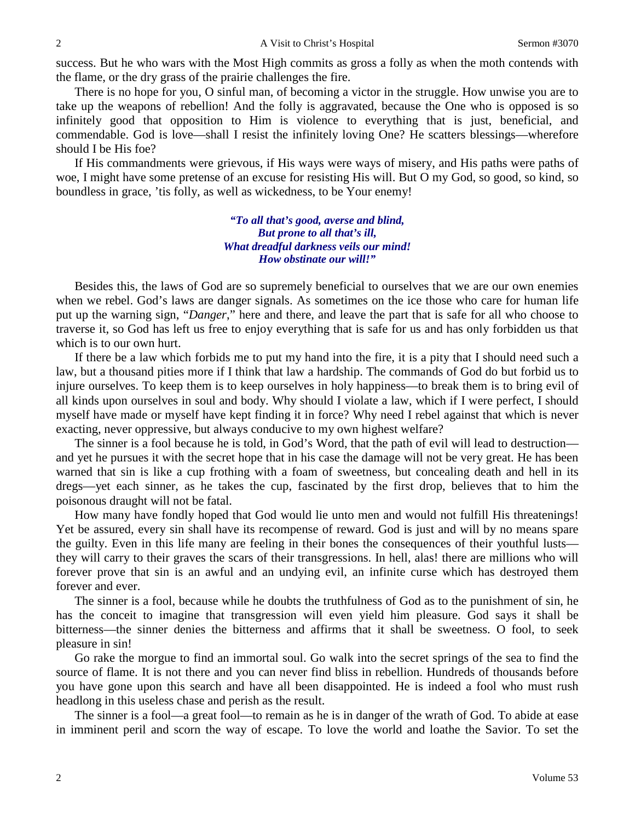success. But he who wars with the Most High commits as gross a folly as when the moth contends with the flame, or the dry grass of the prairie challenges the fire.

There is no hope for you, O sinful man, of becoming a victor in the struggle. How unwise you are to take up the weapons of rebellion! And the folly is aggravated, because the One who is opposed is so infinitely good that opposition to Him is violence to everything that is just, beneficial, and commendable. God is love—shall I resist the infinitely loving One? He scatters blessings—wherefore should I be His foe?

If His commandments were grievous, if His ways were ways of misery, and His paths were paths of woe, I might have some pretense of an excuse for resisting His will. But O my God, so good, so kind, so boundless in grace, 'tis folly, as well as wickedness, to be Your enemy!

> *"To all that's good, averse and blind, But prone to all that's ill, What dreadful darkness veils our mind! How obstinate our will!"*

Besides this, the laws of God are so supremely beneficial to ourselves that we are our own enemies when we rebel. God's laws are danger signals. As sometimes on the ice those who care for human life put up the warning sign, "*Danger*," here and there, and leave the part that is safe for all who choose to traverse it, so God has left us free to enjoy everything that is safe for us and has only forbidden us that which is to our own hurt.

If there be a law which forbids me to put my hand into the fire, it is a pity that I should need such a law, but a thousand pities more if I think that law a hardship. The commands of God do but forbid us to injure ourselves. To keep them is to keep ourselves in holy happiness—to break them is to bring evil of all kinds upon ourselves in soul and body. Why should I violate a law, which if I were perfect, I should myself have made or myself have kept finding it in force? Why need I rebel against that which is never exacting, never oppressive, but always conducive to my own highest welfare?

The sinner is a fool because he is told, in God's Word, that the path of evil will lead to destruction and yet he pursues it with the secret hope that in his case the damage will not be very great. He has been warned that sin is like a cup frothing with a foam of sweetness, but concealing death and hell in its dregs—yet each sinner, as he takes the cup, fascinated by the first drop, believes that to him the poisonous draught will not be fatal.

How many have fondly hoped that God would lie unto men and would not fulfill His threatenings! Yet be assured, every sin shall have its recompense of reward. God is just and will by no means spare the guilty. Even in this life many are feeling in their bones the consequences of their youthful lusts they will carry to their graves the scars of their transgressions. In hell, alas! there are millions who will forever prove that sin is an awful and an undying evil, an infinite curse which has destroyed them forever and ever.

The sinner is a fool, because while he doubts the truthfulness of God as to the punishment of sin, he has the conceit to imagine that transgression will even yield him pleasure. God says it shall be bitterness—the sinner denies the bitterness and affirms that it shall be sweetness. O fool, to seek pleasure in sin!

Go rake the morgue to find an immortal soul. Go walk into the secret springs of the sea to find the source of flame. It is not there and you can never find bliss in rebellion. Hundreds of thousands before you have gone upon this search and have all been disappointed. He is indeed a fool who must rush headlong in this useless chase and perish as the result.

The sinner is a fool—a great fool—to remain as he is in danger of the wrath of God. To abide at ease in imminent peril and scorn the way of escape. To love the world and loathe the Savior. To set the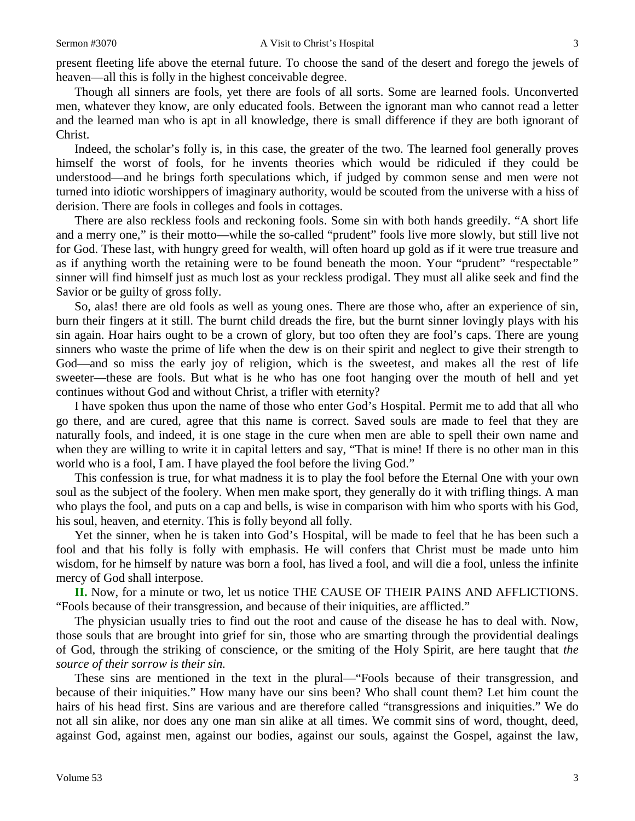present fleeting life above the eternal future. To choose the sand of the desert and forego the jewels of heaven—all this is folly in the highest conceivable degree.

Though all sinners are fools, yet there are fools of all sorts. Some are learned fools. Unconverted men, whatever they know, are only educated fools. Between the ignorant man who cannot read a letter and the learned man who is apt in all knowledge, there is small difference if they are both ignorant of Christ.

Indeed, the scholar's folly is, in this case, the greater of the two. The learned fool generally proves himself the worst of fools, for he invents theories which would be ridiculed if they could be understood—and he brings forth speculations which, if judged by common sense and men were not turned into idiotic worshippers of imaginary authority, would be scouted from the universe with a hiss of derision. There are fools in colleges and fools in cottages.

There are also reckless fools and reckoning fools. Some sin with both hands greedily. "A short life and a merry one," is their motto—while the so-called "prudent" fools live more slowly, but still live not for God. These last, with hungry greed for wealth, will often hoard up gold as if it were true treasure and as if anything worth the retaining were to be found beneath the moon. Your "prudent" "respectable*"*  sinner will find himself just as much lost as your reckless prodigal. They must all alike seek and find the Savior or be guilty of gross folly.

So, alas! there are old fools as well as young ones. There are those who, after an experience of sin, burn their fingers at it still. The burnt child dreads the fire, but the burnt sinner lovingly plays with his sin again. Hoar hairs ought to be a crown of glory, but too often they are fool's caps. There are young sinners who waste the prime of life when the dew is on their spirit and neglect to give their strength to God—and so miss the early joy of religion, which is the sweetest, and makes all the rest of life sweeter—these are fools. But what is he who has one foot hanging over the mouth of hell and yet continues without God and without Christ, a trifler with eternity?

I have spoken thus upon the name of those who enter God's Hospital. Permit me to add that all who go there, and are cured, agree that this name is correct. Saved souls are made to feel that they are naturally fools, and indeed, it is one stage in the cure when men are able to spell their own name and when they are willing to write it in capital letters and say, "That is mine! If there is no other man in this world who is a fool, I am. I have played the fool before the living God."

This confession is true, for what madness it is to play the fool before the Eternal One with your own soul as the subject of the foolery. When men make sport, they generally do it with trifling things. A man who plays the fool, and puts on a cap and bells, is wise in comparison with him who sports with his God, his soul, heaven, and eternity. This is folly beyond all folly.

Yet the sinner, when he is taken into God's Hospital, will be made to feel that he has been such a fool and that his folly is folly with emphasis. He will confers that Christ must be made unto him wisdom, for he himself by nature was born a fool, has lived a fool, and will die a fool, unless the infinite mercy of God shall interpose.

**II.** Now, for a minute or two, let us notice THE CAUSE OF THEIR PAINS AND AFFLICTIONS. "Fools because of their transgression, and because of their iniquities, are afflicted."

The physician usually tries to find out the root and cause of the disease he has to deal with. Now, those souls that are brought into grief for sin, those who are smarting through the providential dealings of God, through the striking of conscience, or the smiting of the Holy Spirit, are here taught that *the source of their sorrow is their sin.* 

These sins are mentioned in the text in the plural—"Fools because of their transgression, and because of their iniquities." How many have our sins been? Who shall count them? Let him count the hairs of his head first. Sins are various and are therefore called "transgressions and iniquities." We do not all sin alike, nor does any one man sin alike at all times. We commit sins of word, thought, deed, against God, against men, against our bodies, against our souls, against the Gospel, against the law,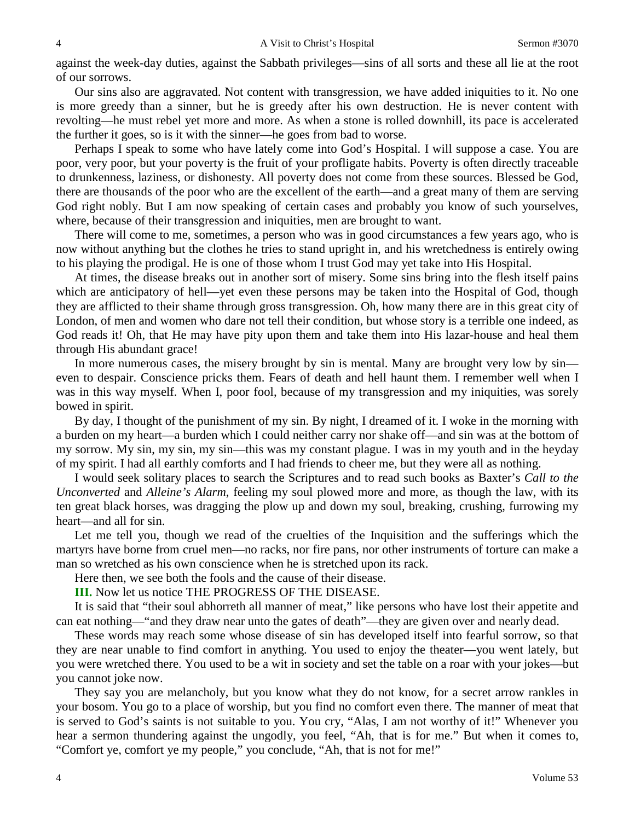against the week-day duties, against the Sabbath privileges—sins of all sorts and these all lie at the root of our sorrows.

Our sins also are aggravated. Not content with transgression, we have added iniquities to it. No one is more greedy than a sinner, but he is greedy after his own destruction. He is never content with revolting—he must rebel yet more and more. As when a stone is rolled downhill, its pace is accelerated the further it goes, so is it with the sinner—he goes from bad to worse.

Perhaps I speak to some who have lately come into God's Hospital. I will suppose a case. You are poor, very poor, but your poverty is the fruit of your profligate habits. Poverty is often directly traceable to drunkenness, laziness, or dishonesty. All poverty does not come from these sources. Blessed be God, there are thousands of the poor who are the excellent of the earth—and a great many of them are serving God right nobly. But I am now speaking of certain cases and probably you know of such yourselves, where, because of their transgression and iniquities, men are brought to want.

There will come to me, sometimes, a person who was in good circumstances a few years ago, who is now without anything but the clothes he tries to stand upright in, and his wretchedness is entirely owing to his playing the prodigal. He is one of those whom I trust God may yet take into His Hospital.

At times, the disease breaks out in another sort of misery. Some sins bring into the flesh itself pains which are anticipatory of hell—yet even these persons may be taken into the Hospital of God, though they are afflicted to their shame through gross transgression. Oh, how many there are in this great city of London, of men and women who dare not tell their condition, but whose story is a terrible one indeed, as God reads it! Oh, that He may have pity upon them and take them into His lazar-house and heal them through His abundant grace!

In more numerous cases, the misery brought by sin is mental. Many are brought very low by sin even to despair. Conscience pricks them. Fears of death and hell haunt them. I remember well when I was in this way myself. When I, poor fool, because of my transgression and my iniquities, was sorely bowed in spirit.

By day, I thought of the punishment of my sin. By night, I dreamed of it. I woke in the morning with a burden on my heart—a burden which I could neither carry nor shake off—and sin was at the bottom of my sorrow. My sin, my sin, my sin—this was my constant plague. I was in my youth and in the heyday of my spirit. I had all earthly comforts and I had friends to cheer me, but they were all as nothing.

I would seek solitary places to search the Scriptures and to read such books as Baxter's *Call to the Unconverted* and *Alleine's Alarm*, feeling my soul plowed more and more, as though the law, with its ten great black horses, was dragging the plow up and down my soul, breaking, crushing, furrowing my heart—and all for sin.

Let me tell you, though we read of the cruelties of the Inquisition and the sufferings which the martyrs have borne from cruel men—no racks, nor fire pans, nor other instruments of torture can make a man so wretched as his own conscience when he is stretched upon its rack.

Here then, we see both the fools and the cause of their disease.

# **III.** Now let us notice THE PROGRESS OF THE DISEASE.

It is said that "their soul abhorreth all manner of meat," like persons who have lost their appetite and can eat nothing—"and they draw near unto the gates of death"—they are given over and nearly dead.

These words may reach some whose disease of sin has developed itself into fearful sorrow, so that they are near unable to find comfort in anything. You used to enjoy the theater—you went lately, but you were wretched there. You used to be a wit in society and set the table on a roar with your jokes—but you cannot joke now.

They say you are melancholy, but you know what they do not know, for a secret arrow rankles in your bosom. You go to a place of worship, but you find no comfort even there. The manner of meat that is served to God's saints is not suitable to you. You cry, "Alas, I am not worthy of it!" Whenever you hear a sermon thundering against the ungodly, you feel, "Ah, that is for me." But when it comes to, "Comfort ye, comfort ye my people," you conclude, "Ah, that is not for me!"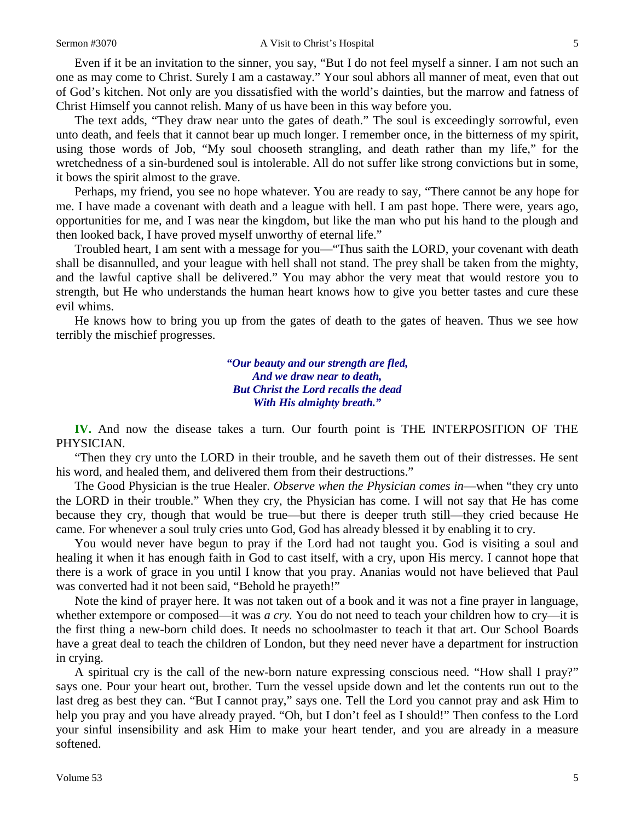#### Sermon #3070 **A** Visit to Christ's Hospital 5

Even if it be an invitation to the sinner, you say, "But I do not feel myself a sinner. I am not such an one as may come to Christ. Surely I am a castaway." Your soul abhors all manner of meat, even that out of God's kitchen. Not only are you dissatisfied with the world's dainties, but the marrow and fatness of Christ Himself you cannot relish. Many of us have been in this way before you.

The text adds, "They draw near unto the gates of death." The soul is exceedingly sorrowful, even unto death, and feels that it cannot bear up much longer. I remember once, in the bitterness of my spirit, using those words of Job, "My soul chooseth strangling, and death rather than my life," for the wretchedness of a sin-burdened soul is intolerable. All do not suffer like strong convictions but in some, it bows the spirit almost to the grave.

Perhaps, my friend, you see no hope whatever. You are ready to say, "There cannot be any hope for me. I have made a covenant with death and a league with hell. I am past hope. There were, years ago, opportunities for me, and I was near the kingdom, but like the man who put his hand to the plough and then looked back, I have proved myself unworthy of eternal life."

Troubled heart, I am sent with a message for you—"Thus saith the LORD, your covenant with death shall be disannulled, and your league with hell shall not stand. The prey shall be taken from the mighty, and the lawful captive shall be delivered." You may abhor the very meat that would restore you to strength, but He who understands the human heart knows how to give you better tastes and cure these evil whims.

He knows how to bring you up from the gates of death to the gates of heaven. Thus we see how terribly the mischief progresses.

> *"Our beauty and our strength are fled, And we draw near to death, But Christ the Lord recalls the dead With His almighty breath."*

**IV.** And now the disease takes a turn. Our fourth point is THE INTERPOSITION OF THE PHYSICIAN.

"Then they cry unto the LORD in their trouble, and he saveth them out of their distresses. He sent his word, and healed them, and delivered them from their destructions."

The Good Physician is the true Healer. *Observe when the Physician comes in*—when "they cry unto the LORD in their trouble." When they cry, the Physician has come. I will not say that He has come because they cry, though that would be true—but there is deeper truth still—they cried because He came. For whenever a soul truly cries unto God, God has already blessed it by enabling it to cry.

You would never have begun to pray if the Lord had not taught you. God is visiting a soul and healing it when it has enough faith in God to cast itself, with a cry, upon His mercy. I cannot hope that there is a work of grace in you until I know that you pray. Ananias would not have believed that Paul was converted had it not been said, "Behold he prayeth!"

Note the kind of prayer here. It was not taken out of a book and it was not a fine prayer in language, whether extempore or composed—it was *a cry*. You do not need to teach your children how to cry—it is the first thing a new-born child does. It needs no schoolmaster to teach it that art. Our School Boards have a great deal to teach the children of London, but they need never have a department for instruction in crying.

A spiritual cry is the call of the new-born nature expressing conscious need*.* "How shall I pray?" says one. Pour your heart out, brother. Turn the vessel upside down and let the contents run out to the last dreg as best they can. "But I cannot pray," says one. Tell the Lord you cannot pray and ask Him to help you pray and you have already prayed. "Oh, but I don't feel as I should!" Then confess to the Lord your sinful insensibility and ask Him to make your heart tender, and you are already in a measure softened.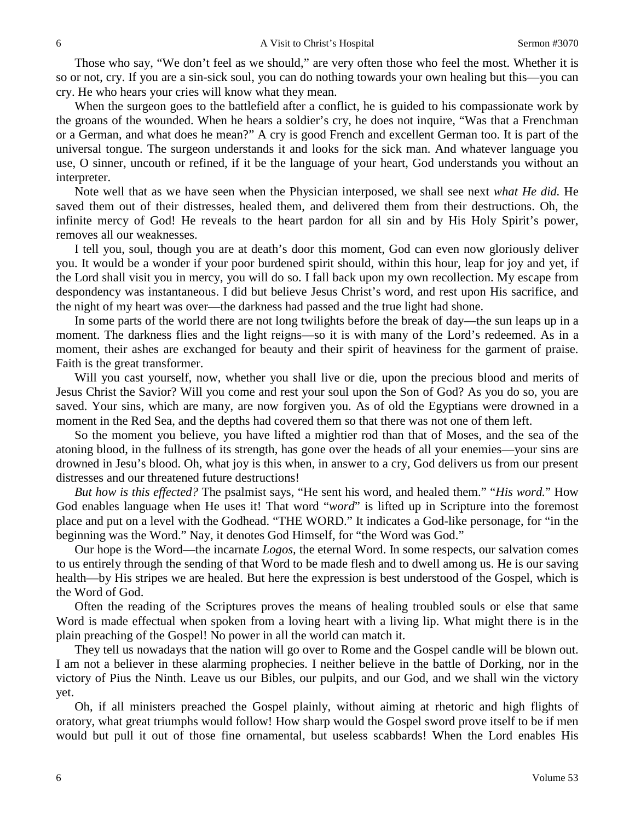Those who say, "We don't feel as we should," are very often those who feel the most. Whether it is so or not, cry. If you are a sin-sick soul, you can do nothing towards your own healing but this—you can cry. He who hears your cries will know what they mean.

When the surgeon goes to the battlefield after a conflict, he is guided to his compassionate work by the groans of the wounded. When he hears a soldier's cry, he does not inquire, "Was that a Frenchman or a German, and what does he mean?" A cry is good French and excellent German too. It is part of the universal tongue. The surgeon understands it and looks for the sick man. And whatever language you use, O sinner, uncouth or refined, if it be the language of your heart, God understands you without an interpreter.

Note well that as we have seen when the Physician interposed, we shall see next *what He did.* He saved them out of their distresses, healed them, and delivered them from their destructions. Oh, the infinite mercy of God! He reveals to the heart pardon for all sin and by His Holy Spirit's power, removes all our weaknesses.

I tell you, soul, though you are at death's door this moment, God can even now gloriously deliver you. It would be a wonder if your poor burdened spirit should, within this hour, leap for joy and yet, if the Lord shall visit you in mercy, you will do so. I fall back upon my own recollection. My escape from despondency was instantaneous. I did but believe Jesus Christ's word, and rest upon His sacrifice, and the night of my heart was over—the darkness had passed and the true light had shone.

In some parts of the world there are not long twilights before the break of day—the sun leaps up in a moment. The darkness flies and the light reigns—so it is with many of the Lord's redeemed. As in a moment, their ashes are exchanged for beauty and their spirit of heaviness for the garment of praise. Faith is the great transformer.

Will you cast yourself, now, whether you shall live or die, upon the precious blood and merits of Jesus Christ the Savior? Will you come and rest your soul upon the Son of God? As you do so, you are saved. Your sins, which are many, are now forgiven you. As of old the Egyptians were drowned in a moment in the Red Sea, and the depths had covered them so that there was not one of them left.

So the moment you believe, you have lifted a mightier rod than that of Moses, and the sea of the atoning blood, in the fullness of its strength, has gone over the heads of all your enemies—your sins are drowned in Jesu's blood. Oh, what joy is this when, in answer to a cry, God delivers us from our present distresses and our threatened future destructions!

*But how is this effected?* The psalmist says, "He sent his word, and healed them." "*His word.*" How God enables language when He uses it! That word "*word*" is lifted up in Scripture into the foremost place and put on a level with the Godhead. "THE WORD." It indicates a God-like personage, for "in the beginning was the Word." Nay, it denotes God Himself, for "the Word was God."

Our hope is the Word—the incarnate *Logos,* the eternal Word. In some respects, our salvation comes to us entirely through the sending of that Word to be made flesh and to dwell among us. He is our saving health—by His stripes we are healed. But here the expression is best understood of the Gospel, which is the Word of God.

Often the reading of the Scriptures proves the means of healing troubled souls or else that same Word is made effectual when spoken from a loving heart with a living lip. What might there is in the plain preaching of the Gospel! No power in all the world can match it.

They tell us nowadays that the nation will go over to Rome and the Gospel candle will be blown out. I am not a believer in these alarming prophecies. I neither believe in the battle of Dorking, nor in the victory of Pius the Ninth. Leave us our Bibles, our pulpits, and our God, and we shall win the victory yet.

Oh, if all ministers preached the Gospel plainly, without aiming at rhetoric and high flights of oratory, what great triumphs would follow! How sharp would the Gospel sword prove itself to be if men would but pull it out of those fine ornamental, but useless scabbards! When the Lord enables His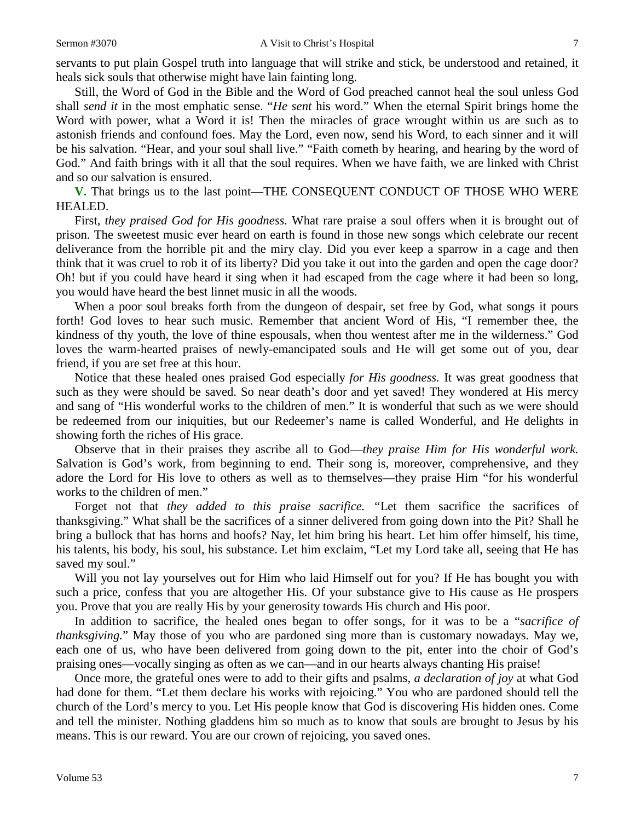servants to put plain Gospel truth into language that will strike and stick, be understood and retained, it heals sick souls that otherwise might have lain fainting long.

Still, the Word of God in the Bible and the Word of God preached cannot heal the soul unless God shall *send it* in the most emphatic sense. "*He sent* his word." When the eternal Spirit brings home the Word with power, what a Word it is! Then the miracles of grace wrought within us are such as to astonish friends and confound foes. May the Lord, even now, send his Word, to each sinner and it will be his salvation. "Hear, and your soul shall live." "Faith cometh by hearing, and hearing by the word of God." And faith brings with it all that the soul requires. When we have faith, we are linked with Christ and so our salvation is ensured.

**V.** That brings us to the last point—THE CONSEQUENT CONDUCT OF THOSE WHO WERE HEALED.

First, *they praised God for His goodness.* What rare praise a soul offers when it is brought out of prison. The sweetest music ever heard on earth is found in those new songs which celebrate our recent deliverance from the horrible pit and the miry clay. Did you ever keep a sparrow in a cage and then think that it was cruel to rob it of its liberty? Did you take it out into the garden and open the cage door? Oh! but if you could have heard it sing when it had escaped from the cage where it had been so long, you would have heard the best linnet music in all the woods.

When a poor soul breaks forth from the dungeon of despair, set free by God, what songs it pours forth! God loves to hear such music. Remember that ancient Word of His, "I remember thee, the kindness of thy youth, the love of thine espousals, when thou wentest after me in the wilderness." God loves the warm-hearted praises of newly-emancipated souls and He will get some out of you, dear friend, if you are set free at this hour.

Notice that these healed ones praised God especially *for His goodness.* It was great goodness that such as they were should be saved. So near death's door and yet saved! They wondered at His mercy and sang of "His wonderful works to the children of men." It is wonderful that such as we were should be redeemed from our iniquities, but our Redeemer's name is called Wonderful, and He delights in showing forth the riches of His grace.

Observe that in their praises they ascribe all to God—*they praise Him for His wonderful work.*  Salvation is God's work, from beginning to end. Their song is, moreover, comprehensive, and they adore the Lord for His love to others as well as to themselves—they praise Him "for his wonderful works to the children of men."

Forget not that *they added to this praise sacrifice. "*Let them sacrifice the sacrifices of thanksgiving." What shall be the sacrifices of a sinner delivered from going down into the Pit? Shall he bring a bullock that has horns and hoofs? Nay, let him bring his heart. Let him offer himself, his time, his talents, his body, his soul, his substance. Let him exclaim, "Let my Lord take all, seeing that He has saved my soul."

Will you not lay yourselves out for Him who laid Himself out for you? If He has bought you with such a price, confess that you are altogether His. Of your substance give to His cause as He prospers you. Prove that you are really His by your generosity towards His church and His poor.

In addition to sacrifice, the healed ones began to offer songs, for it was to be a "*sacrifice of thanksgiving.*" May those of you who are pardoned sing more than is customary nowadays. May we, each one of us, who have been delivered from going down to the pit, enter into the choir of God's praising ones—vocally singing as often as we can—and in our hearts always chanting His praise!

Once more, the grateful ones were to add to their gifts and psalms*, a declaration of joy* at what God had done for them. "Let them declare his works with rejoicing." You who are pardoned should tell the church of the Lord's mercy to you. Let His people know that God is discovering His hidden ones. Come and tell the minister. Nothing gladdens him so much as to know that souls are brought to Jesus by his means. This is our reward. You are our crown of rejoicing, you saved ones.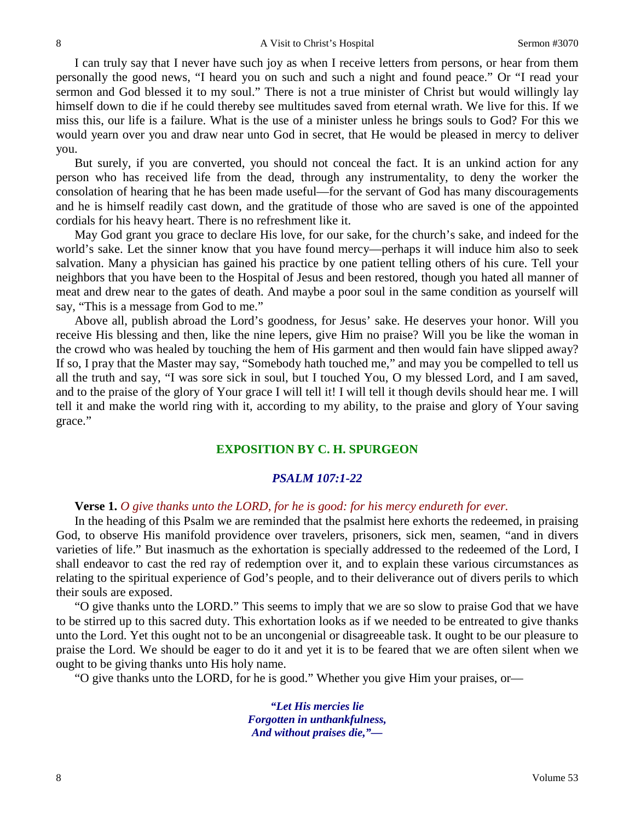I can truly say that I never have such joy as when I receive letters from persons, or hear from them personally the good news, "I heard you on such and such a night and found peace." Or "I read your sermon and God blessed it to my soul." There is not a true minister of Christ but would willingly lay himself down to die if he could thereby see multitudes saved from eternal wrath. We live for this. If we miss this, our life is a failure. What is the use of a minister unless he brings souls to God? For this we would yearn over you and draw near unto God in secret, that He would be pleased in mercy to deliver you.

But surely, if you are converted, you should not conceal the fact. It is an unkind action for any person who has received life from the dead, through any instrumentality, to deny the worker the consolation of hearing that he has been made useful—for the servant of God has many discouragements and he is himself readily cast down, and the gratitude of those who are saved is one of the appointed cordials for his heavy heart. There is no refreshment like it.

May God grant you grace to declare His love, for our sake, for the church's sake, and indeed for the world's sake. Let the sinner know that you have found mercy—perhaps it will induce him also to seek salvation. Many a physician has gained his practice by one patient telling others of his cure. Tell your neighbors that you have been to the Hospital of Jesus and been restored, though you hated all manner of meat and drew near to the gates of death. And maybe a poor soul in the same condition as yourself will say, "This is a message from God to me."

Above all, publish abroad the Lord's goodness, for Jesus' sake. He deserves your honor. Will you receive His blessing and then, like the nine lepers, give Him no praise? Will you be like the woman in the crowd who was healed by touching the hem of His garment and then would fain have slipped away? If so, I pray that the Master may say, "Somebody hath touched me," and may you be compelled to tell us all the truth and say, "I was sore sick in soul, but I touched You, O my blessed Lord, and I am saved, and to the praise of the glory of Your grace I will tell it! I will tell it though devils should hear me. I will tell it and make the world ring with it, according to my ability, to the praise and glory of Your saving grace."

# **EXPOSITION BY C. H. SPURGEON**

### *PSALM 107:1-22*

## **Verse 1.** *O give thanks unto the LORD, for he is good: for his mercy endureth for ever.*

In the heading of this Psalm we are reminded that the psalmist here exhorts the redeemed, in praising God, to observe His manifold providence over travelers, prisoners, sick men, seamen, "and in divers varieties of life." But inasmuch as the exhortation is specially addressed to the redeemed of the Lord, I shall endeavor to cast the red ray of redemption over it, and to explain these various circumstances as relating to the spiritual experience of God's people, and to their deliverance out of divers perils to which their souls are exposed.

"O give thanks unto the LORD." This seems to imply that we are so slow to praise God that we have to be stirred up to this sacred duty. This exhortation looks as if we needed to be entreated to give thanks unto the Lord. Yet this ought not to be an uncongenial or disagreeable task. It ought to be our pleasure to praise the Lord. We should be eager to do it and yet it is to be feared that we are often silent when we ought to be giving thanks unto His holy name.

"O give thanks unto the LORD, for he is good." Whether you give Him your praises, or—

*"Let His mercies lie Forgotten in unthankfulness, And without praises die,"—*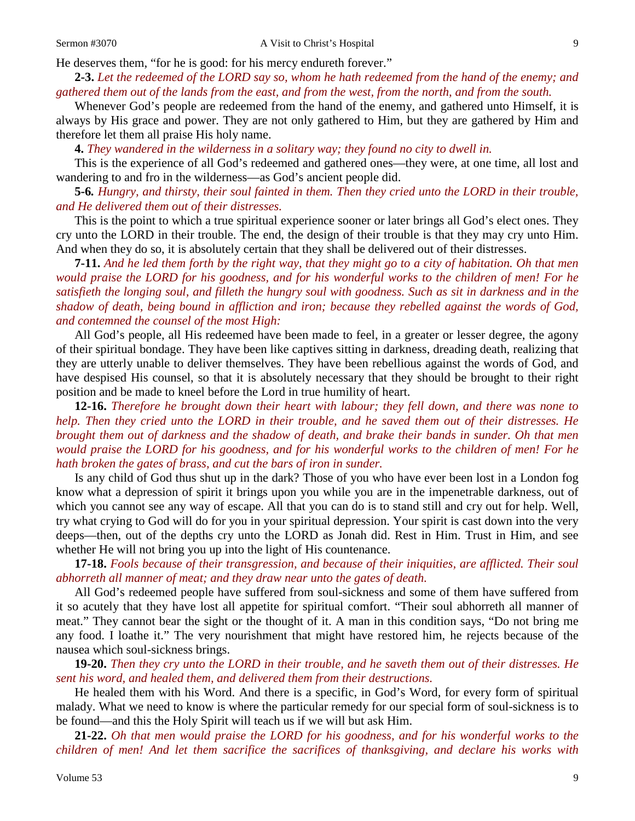He deserves them, "for he is good: for his mercy endureth forever."

**2-3.** *Let the redeemed of the LORD say so, whom he hath redeemed from the hand of the enemy; and gathered them out of the lands from the east, and from the west, from the north, and from the south.*

Whenever God's people are redeemed from the hand of the enemy, and gathered unto Himself, it is always by His grace and power. They are not only gathered to Him, but they are gathered by Him and therefore let them all praise His holy name.

**4.** *They wandered in the wilderness in a solitary way; they found no city to dwell in.*

This is the experience of all God's redeemed and gathered ones—they were, at one time, all lost and wandering to and fro in the wilderness—as God's ancient people did.

**5-6***. Hungry, and thirsty, their soul fainted in them. Then they cried unto the LORD in their trouble, and He delivered them out of their distresses.*

This is the point to which a true spiritual experience sooner or later brings all God's elect ones. They cry unto the LORD in their trouble. The end, the design of their trouble is that they may cry unto Him. And when they do so, it is absolutely certain that they shall be delivered out of their distresses.

**7-11.** *And he led them forth by the right way, that they might go to a city of habitation. Oh that men would praise the LORD for his goodness, and for his wonderful works to the children of men! For he satisfieth the longing soul, and filleth the hungry soul with goodness. Such as sit in darkness and in the shadow of death, being bound in affliction and iron; because they rebelled against the words of God, and contemned the counsel of the most High:*

All God's people, all His redeemed have been made to feel, in a greater or lesser degree, the agony of their spiritual bondage. They have been like captives sitting in darkness, dreading death, realizing that they are utterly unable to deliver themselves. They have been rebellious against the words of God, and have despised His counsel, so that it is absolutely necessary that they should be brought to their right position and be made to kneel before the Lord in true humility of heart.

**12-16.** *Therefore he brought down their heart with labour; they fell down, and there was none to help. Then they cried unto the LORD in their trouble, and he saved them out of their distresses. He brought them out of darkness and the shadow of death, and brake their bands in sunder. Oh that men would praise the LORD for his goodness, and for his wonderful works to the children of men! For he hath broken the gates of brass, and cut the bars of iron in sunder.*

Is any child of God thus shut up in the dark? Those of you who have ever been lost in a London fog know what a depression of spirit it brings upon you while you are in the impenetrable darkness, out of which you cannot see any way of escape. All that you can do is to stand still and cry out for help. Well, try what crying to God will do for you in your spiritual depression. Your spirit is cast down into the very deeps—then, out of the depths cry unto the LORD as Jonah did. Rest in Him. Trust in Him, and see whether He will not bring you up into the light of His countenance.

**17-18.** *Fools because of their transgression, and because of their iniquities, are afflicted. Their soul abhorreth all manner of meat; and they draw near unto the gates of death.*

All God's redeemed people have suffered from soul-sickness and some of them have suffered from it so acutely that they have lost all appetite for spiritual comfort. "Their soul abhorreth all manner of meat." They cannot bear the sight or the thought of it. A man in this condition says, "Do not bring me any food. I loathe it." The very nourishment that might have restored him, he rejects because of the nausea which soul-sickness brings.

**19-20.** *Then they cry unto the LORD in their trouble, and he saveth them out of their distresses. He sent his word, and healed them, and delivered them from their destructions.*

He healed them with his Word. And there is a specific, in God's Word, for every form of spiritual malady. What we need to know is where the particular remedy for our special form of soul-sickness is to be found—and this the Holy Spirit will teach us if we will but ask Him.

**21-22.** *Oh that men would praise the LORD for his goodness, and for his wonderful works to the children of men! And let them sacrifice the sacrifices of thanksgiving, and declare his works with*